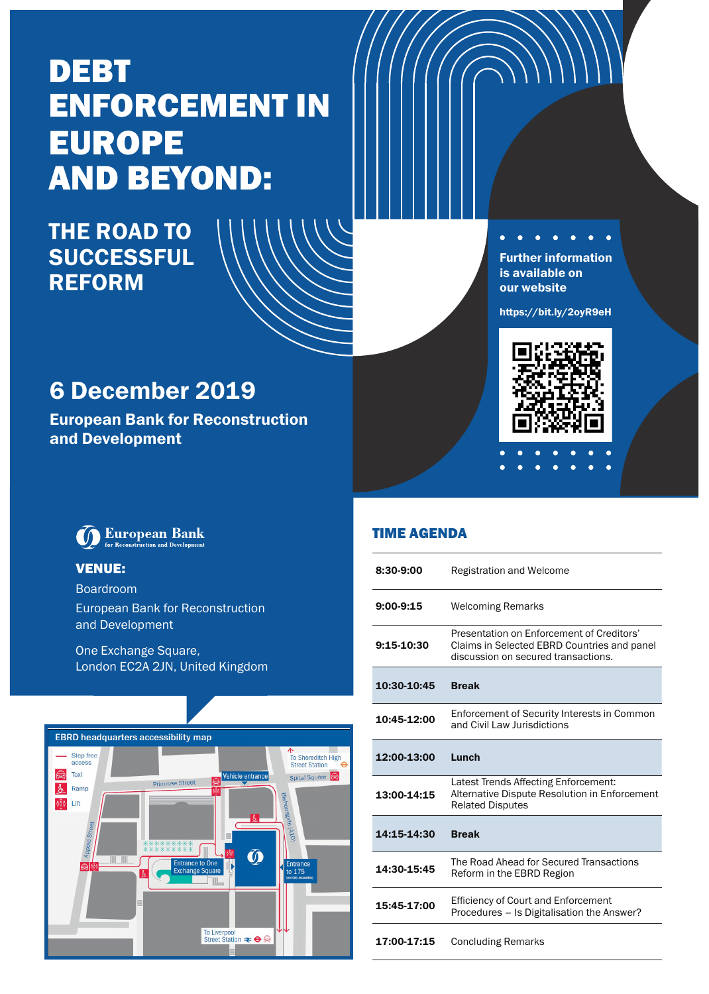# DEBT ENFORCEMENT IN EUROPE AND BEYOND:

# THE ROAD TO SUCCESSFUL **REFORM**

Further information is available on our website

 $\mathbf{r}$  $\overline{\phantom{a}}$ 

https://bit.ly/2oyR9eH



# 6 December 2019

European Bank for Reconstruction and Development



### VENUE:

Boardroom European Bank for Reconstruction and Development

One Exchange Square, London EC2A 2JN, United Kingdom



| 8:30-9:00   | <b>Registration and Welcome</b>                                                                                                 |
|-------------|---------------------------------------------------------------------------------------------------------------------------------|
| $9:00-9:15$ | <b>Welcoming Remarks</b>                                                                                                        |
| 9:15-10:30  | Presentation on Enforcement of Creditors'<br>Claims in Selected EBRD Countries and panel<br>discussion on secured transactions. |
| 10:30-10:45 | <b>Break</b>                                                                                                                    |
| 10:45-12:00 | Enforcement of Security Interests in Common<br>and Civil Law Jurisdictions                                                      |
| 12:00-13:00 | Lunch                                                                                                                           |
|             | Latest Trends Affecting Enforcement:                                                                                            |
| 13:00-14:15 | Alternative Dispute Resolution in Enforcement<br><b>Related Disputes</b>                                                        |
| 14:15-14:30 | <b>Break</b>                                                                                                                    |
| 14:30-15:45 | The Road Ahead for Secured Transactions<br>Reform in the EBRD Region                                                            |
| 15:45-17:00 | <b>Efficiency of Court and Enforcement</b><br>Procedures - Is Digitalisation the Answer?                                        |